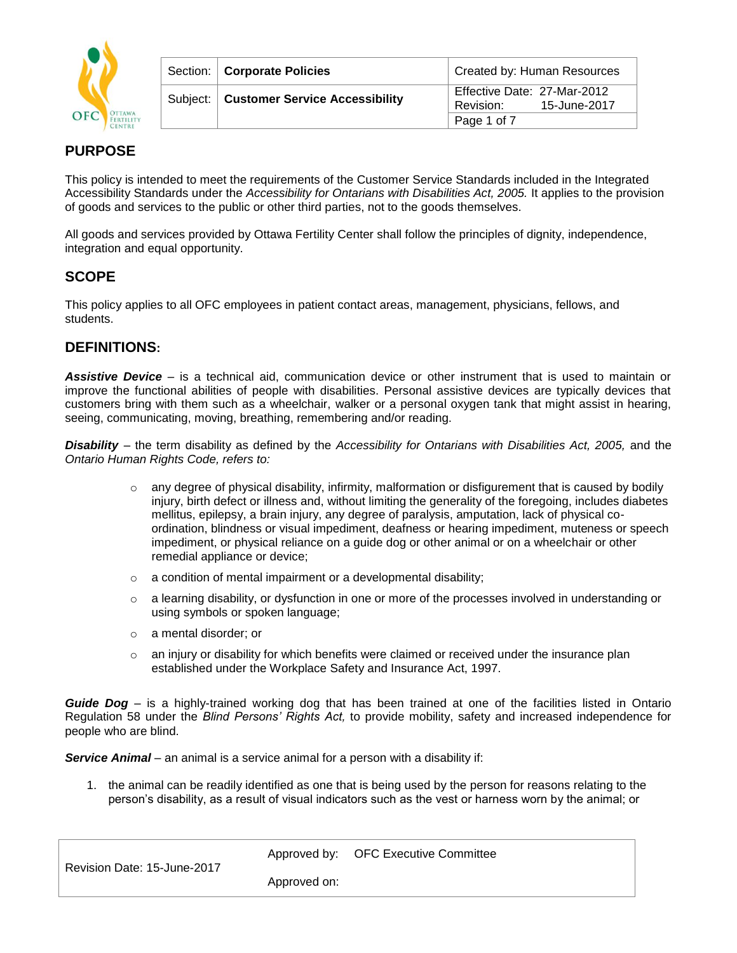

| Section:   Corporate Policies             | Created by: Human Resources                              |
|-------------------------------------------|----------------------------------------------------------|
| Subject:   Customer Service Accessibility | Effective Date: 27-Mar-2012<br>15-June-2017<br>Revision: |
|                                           | Page 1 of 7                                              |

# **PURPOSE**

This policy is intended to meet the requirements of the Customer Service Standards included in the Integrated Accessibility Standards under the *Accessibility for Ontarians with Disabilities Act, 2005.* It applies to the provision of goods and services to the public or other third parties, not to the goods themselves.

All goods and services provided by Ottawa Fertility Center shall follow the principles of dignity, independence, integration and equal opportunity.

# **SCOPE**

This policy applies to all OFC employees in patient contact areas, management, physicians, fellows, and students.

# **DEFINITIONS:**

*Assistive Device* – is a technical aid, communication device or other instrument that is used to maintain or improve the functional abilities of people with disabilities. Personal assistive devices are typically devices that customers bring with them such as a wheelchair, walker or a personal oxygen tank that might assist in hearing, seeing, communicating, moving, breathing, remembering and/or reading.

*Disability* – the term disability as defined by the *Accessibility for Ontarians with Disabilities Act, 2005,* and the *Ontario Human Rights Code, refers to:* 

- $\circ$  any degree of physical disability, infirmity, malformation or disfigurement that is caused by bodily injury, birth defect or illness and, without limiting the generality of the foregoing, includes diabetes mellitus, epilepsy, a brain injury, any degree of paralysis, amputation, lack of physical coordination, blindness or visual impediment, deafness or hearing impediment, muteness or speech impediment, or physical reliance on a guide dog or other animal or on a wheelchair or other remedial appliance or device;
- $\circ$  a condition of mental impairment or a developmental disability;
- $\circ$  a learning disability, or dysfunction in one or more of the processes involved in understanding or using symbols or spoken language;
- o a mental disorder; or
- $\circ$  an injury or disability for which benefits were claimed or received under the insurance plan established under the Workplace Safety and Insurance Act, 1997.

*Guide Dog* – is a highly-trained working dog that has been trained at one of the facilities listed in Ontario Regulation 58 under the *Blind Persons' Rights Act,* to provide mobility, safety and increased independence for people who are blind.

*Service Animal* – an animal is a service animal for a person with a disability if:

1. the animal can be readily identified as one that is being used by the person for reasons relating to the person's disability, as a result of visual indicators such as the vest or harness worn by the animal; or

Approved by: OFC Executive Committee

Revision Date: 15-June-2017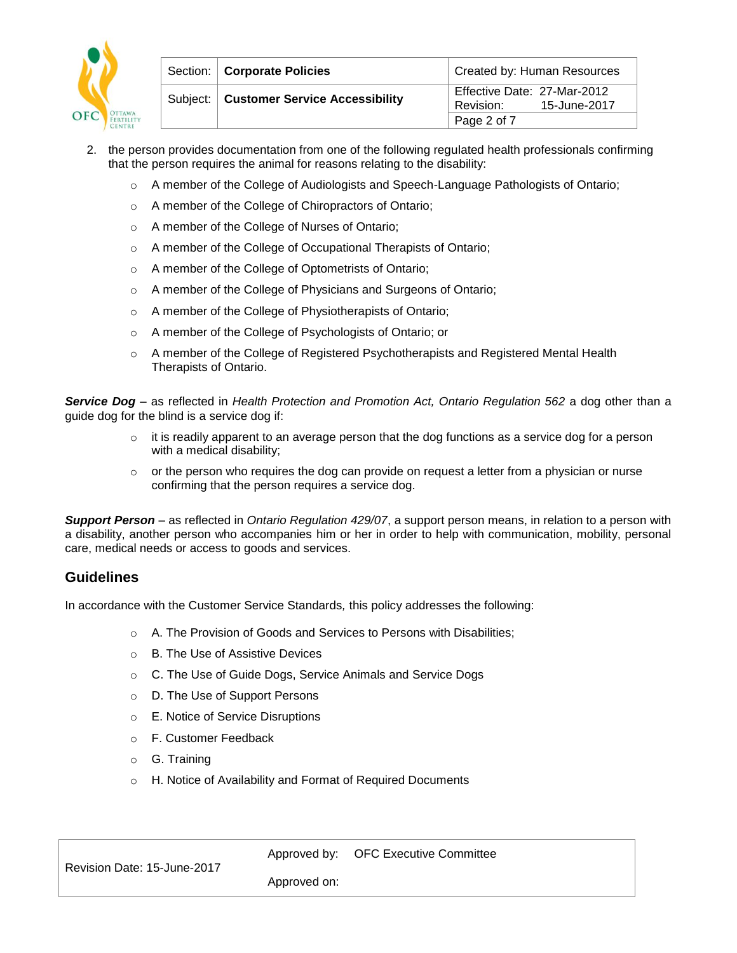

| Section:   Corporate Policies             | Created by: Human Resources                              |
|-------------------------------------------|----------------------------------------------------------|
| Subject:   Customer Service Accessibility | Effective Date: 27-Mar-2012<br>15-June-2017<br>Revision: |
|                                           | Page 2 of 7                                              |

- 2. the person provides documentation from one of the following regulated health professionals confirming that the person requires the animal for reasons relating to the disability:
	- o A member of the College of Audiologists and Speech-Language Pathologists of Ontario;
	- o A member of the College of Chiropractors of Ontario;
	- o A member of the College of Nurses of Ontario;
	- o A member of the College of Occupational Therapists of Ontario;
	- o A member of the College of Optometrists of Ontario;
	- o A member of the College of Physicians and Surgeons of Ontario;
	- o A member of the College of Physiotherapists of Ontario;
	- o A member of the College of Psychologists of Ontario; or
	- $\circ$  A member of the College of Registered Psychotherapists and Registered Mental Health Therapists of Ontario.

**Service Dog** – as reflected in *Health Protection and Promotion Act, Ontario Regulation 562* a dog other than a guide dog for the blind is a service dog if:

- $\circ$  it is readily apparent to an average person that the dog functions as a service dog for a person with a medical disability;
- $\circ$  or the person who requires the dog can provide on request a letter from a physician or nurse confirming that the person requires a service dog.

*Support Person* – as reflected in *Ontario Regulation 429/07*, a support person means, in relation to a person with a disability, another person who accompanies him or her in order to help with communication, mobility, personal care, medical needs or access to goods and services.

# **Guidelines**

In accordance with the Customer Service Standards*,* this policy addresses the following:

- o A. The Provision of Goods and Services to Persons with Disabilities;
- o B. The Use of Assistive Devices
- o C. The Use of Guide Dogs, Service Animals and Service Dogs
- o D. The Use of Support Persons
- o E. Notice of Service Disruptions
- o F. Customer Feedback
- o G. Training
- o H. Notice of Availability and Format of Required Documents

Approved by: OFC Executive Committee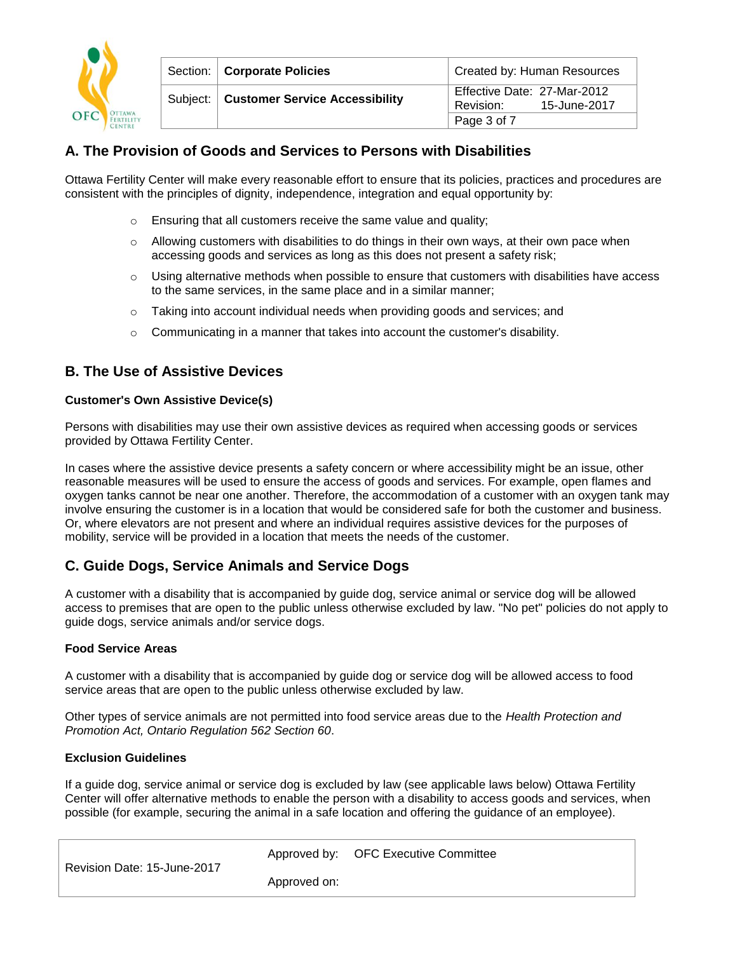

| Section:   Corporate Policies             | Created by: Human Resources                              |
|-------------------------------------------|----------------------------------------------------------|
| Subject:   Customer Service Accessibility | Effective Date: 27-Mar-2012<br>15-June-2017<br>Revision: |
|                                           | Page 3 of $7$                                            |

# **A. The Provision of Goods and Services to Persons with Disabilities**

Ottawa Fertility Center will make every reasonable effort to ensure that its policies, practices and procedures are consistent with the principles of dignity, independence, integration and equal opportunity by:

- o Ensuring that all customers receive the same value and quality;
- $\circ$  Allowing customers with disabilities to do things in their own ways, at their own pace when accessing goods and services as long as this does not present a safety risk;
- $\circ$  Using alternative methods when possible to ensure that customers with disabilities have access to the same services, in the same place and in a similar manner;
- o Taking into account individual needs when providing goods and services; and
- $\circ$  Communicating in a manner that takes into account the customer's disability.

# **B. The Use of Assistive Devices**

## **Customer's Own Assistive Device(s)**

Persons with disabilities may use their own assistive devices as required when accessing goods or services provided by Ottawa Fertility Center.

In cases where the assistive device presents a safety concern or where accessibility might be an issue, other reasonable measures will be used to ensure the access of goods and services. For example, open flames and oxygen tanks cannot be near one another. Therefore, the accommodation of a customer with an oxygen tank may involve ensuring the customer is in a location that would be considered safe for both the customer and business. Or, where elevators are not present and where an individual requires assistive devices for the purposes of mobility, service will be provided in a location that meets the needs of the customer.

# **C. Guide Dogs, Service Animals and Service Dogs**

A customer with a disability that is accompanied by guide dog, service animal or service dog will be allowed access to premises that are open to the public unless otherwise excluded by law. "No pet" policies do not apply to guide dogs, service animals and/or service dogs.

## **Food Service Areas**

A customer with a disability that is accompanied by guide dog or service dog will be allowed access to food service areas that are open to the public unless otherwise excluded by law.

Other types of service animals are not permitted into food service areas due to the *Health Protection and Promotion Act, Ontario Regulation 562 Section 60*.

#### **Exclusion Guidelines**

If a guide dog, service animal or service dog is excluded by law (see applicable laws below) Ottawa Fertility Center will offer alternative methods to enable the person with a disability to access goods and services, when possible (for example, securing the animal in a safe location and offering the guidance of an employee).

| Revision Date: 15-June-2017 |              | Approved by: OFC Executive Committee |
|-----------------------------|--------------|--------------------------------------|
|                             | Approved on: |                                      |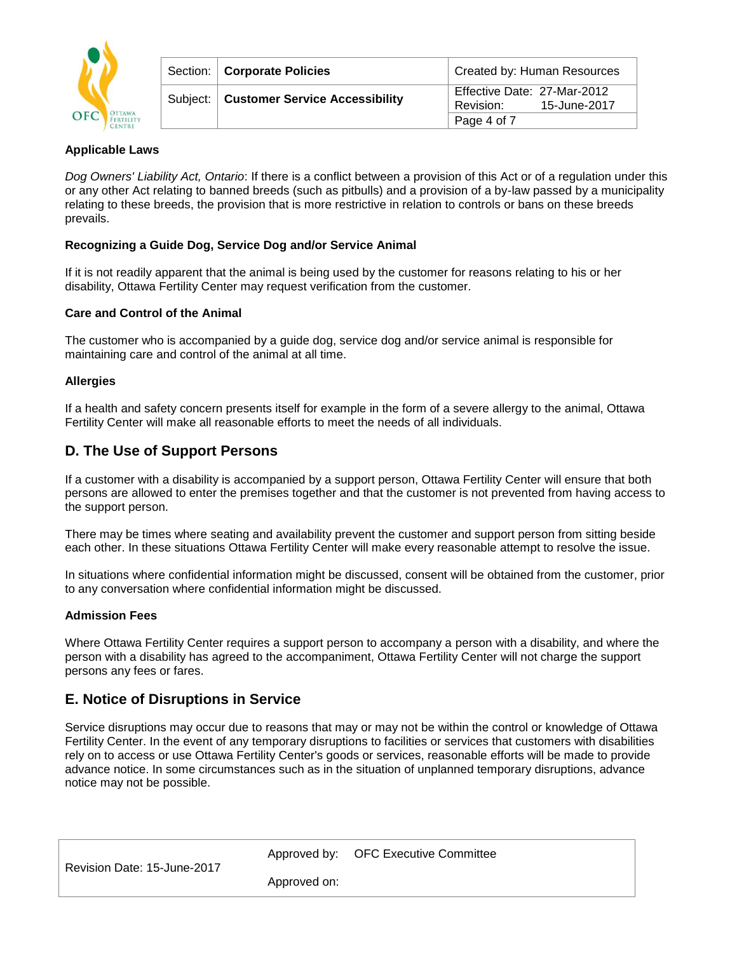

| Section:   Corporate Policies             | Created by: Human Resources                              |
|-------------------------------------------|----------------------------------------------------------|
| Subject:   Customer Service Accessibility | Effective Date: 27-Mar-2012<br>15-June-2017<br>Revision: |
|                                           | Page 4 of 7                                              |

## **Applicable Laws**

*Dog Owners' Liability Act, Ontario*: If there is a conflict between a provision of this Act or of a regulation under this or any other Act relating to banned breeds (such as pitbulls) and a provision of a by-law passed by a municipality relating to these breeds, the provision that is more restrictive in relation to controls or bans on these breeds prevails.

#### **Recognizing a Guide Dog, Service Dog and/or Service Animal**

If it is not readily apparent that the animal is being used by the customer for reasons relating to his or her disability, Ottawa Fertility Center may request verification from the customer.

#### **Care and Control of the Animal**

The customer who is accompanied by a guide dog, service dog and/or service animal is responsible for maintaining care and control of the animal at all time.

#### **Allergies**

If a health and safety concern presents itself for example in the form of a severe allergy to the animal, Ottawa Fertility Center will make all reasonable efforts to meet the needs of all individuals.

## **D. The Use of Support Persons**

If a customer with a disability is accompanied by a support person, Ottawa Fertility Center will ensure that both persons are allowed to enter the premises together and that the customer is not prevented from having access to the support person.

There may be times where seating and availability prevent the customer and support person from sitting beside each other. In these situations Ottawa Fertility Center will make every reasonable attempt to resolve the issue.

In situations where confidential information might be discussed, consent will be obtained from the customer, prior to any conversation where confidential information might be discussed.

#### **Admission Fees**

Where Ottawa Fertility Center requires a support person to accompany a person with a disability, and where the person with a disability has agreed to the accompaniment, Ottawa Fertility Center will not charge the support persons any fees or fares.

## **E. Notice of Disruptions in Service**

Service disruptions may occur due to reasons that may or may not be within the control or knowledge of Ottawa Fertility Center. In the event of any temporary disruptions to facilities or services that customers with disabilities rely on to access or use Ottawa Fertility Center's goods or services, reasonable efforts will be made to provide advance notice. In some circumstances such as in the situation of unplanned temporary disruptions, advance notice may not be possible.

Approved by: OFC Executive Committee

Revision Date: 15-June-2017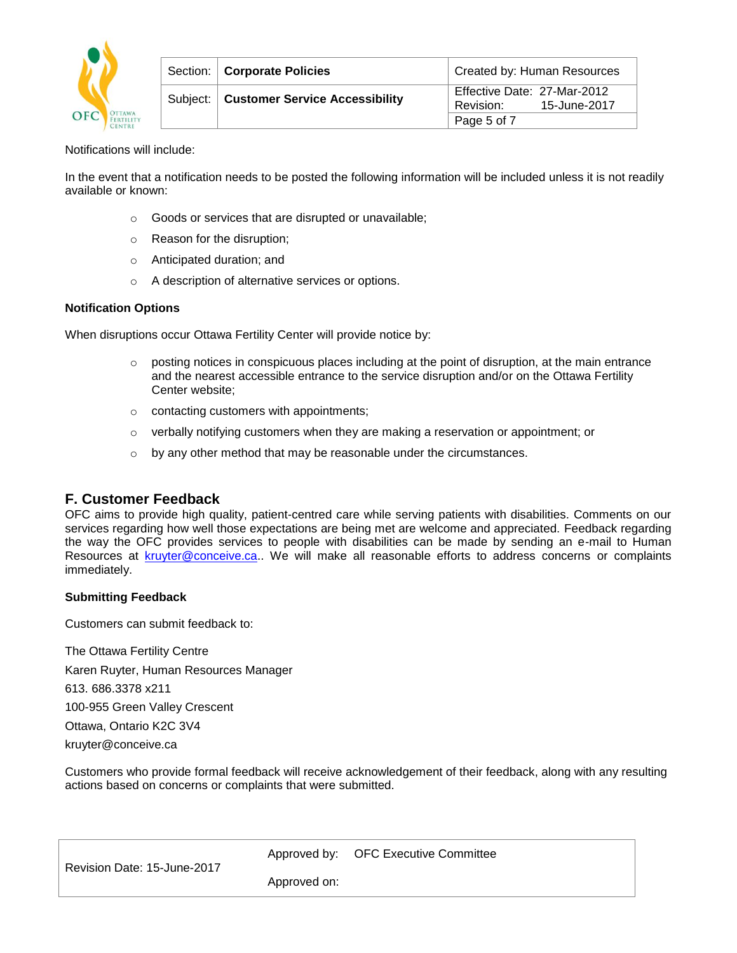

| Section:   Corporate Policies             | Created by: Human Resources                              |
|-------------------------------------------|----------------------------------------------------------|
| Subject:   Customer Service Accessibility | Effective Date: 27-Mar-2012<br>15-June-2017<br>Revision: |
|                                           | Page 5 of 7                                              |

Notifications will include:

In the event that a notification needs to be posted the following information will be included unless it is not readily available or known:

- o Goods or services that are disrupted or unavailable;
- o Reason for the disruption;
- o Anticipated duration; and
- o A description of alternative services or options.

#### **Notification Options**

When disruptions occur Ottawa Fertility Center will provide notice by:

- $\circ$  posting notices in conspicuous places including at the point of disruption, at the main entrance and the nearest accessible entrance to the service disruption and/or on the Ottawa Fertility Center website;
- o contacting customers with appointments;
- $\circ$  verbally notifying customers when they are making a reservation or appointment; or
- $\circ$  by any other method that may be reasonable under the circumstances.

## **F. Customer Feedback**

OFC aims to provide high quality, patient-centred care while serving patients with disabilities. Comments on our services regarding how well those expectations are being met are welcome and appreciated. Feedback regarding the way the OFC provides services to people with disabilities can be made by sending an e-mail to Human Resources at [kruyter@conceive.ca.](mailto:kruyter@conceive.ca). We will make all reasonable efforts to address concerns or complaints immediately.

#### **Submitting Feedback**

Customers can submit feedback to:

The Ottawa Fertility Centre Karen Ruyter, Human Resources Manager 613. 686.3378 x211 100-955 Green Valley Crescent Ottawa, Ontario K2C 3V4 kruyter@conceive.ca

Customers who provide formal feedback will receive acknowledgement of their feedback, along with any resulting actions based on concerns or complaints that were submitted.

Approved by: OFC Executive Committee

Revision Date: 15-June-2017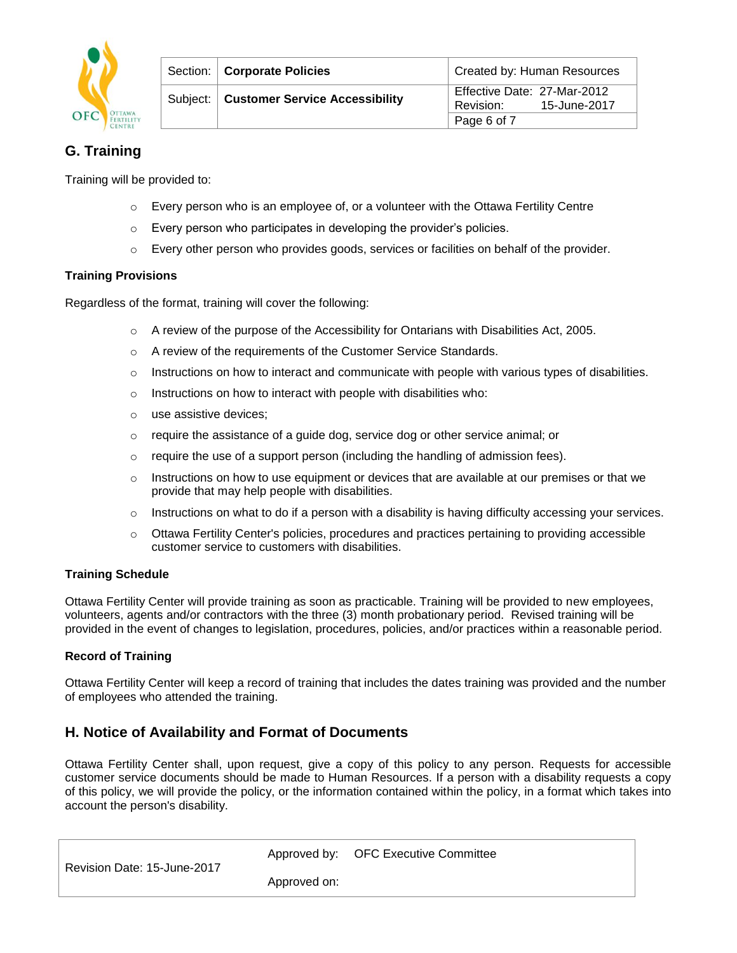

| Section:   Corporate Policies             | Created by: Human Resources                              |
|-------------------------------------------|----------------------------------------------------------|
| Subject:   Customer Service Accessibility | Effective Date: 27-Mar-2012<br>15-June-2017<br>Revision: |
|                                           | Page 6 of 7                                              |

# **G. Training**

Training will be provided to:

- $\circ$  Every person who is an employee of, or a volunteer with the Ottawa Fertility Centre
- o Every person who participates in developing the provider's policies.
- $\circ$  Every other person who provides goods, services or facilities on behalf of the provider.

## **Training Provisions**

Regardless of the format, training will cover the following:

- $\circ$  A review of the purpose of the Accessibility for Ontarians with Disabilities Act, 2005.
- o A review of the requirements of the Customer Service Standards.
- $\circ$  Instructions on how to interact and communicate with people with various types of disabilities.
- o Instructions on how to interact with people with disabilities who:
- o use assistive devices;
- $\circ$  require the assistance of a guide dog, service dog or other service animal; or
- o require the use of a support person (including the handling of admission fees).
- $\circ$  Instructions on how to use equipment or devices that are available at our premises or that we provide that may help people with disabilities.
- $\circ$  Instructions on what to do if a person with a disability is having difficulty accessing your services.
- $\circ$  Ottawa Fertility Center's policies, procedures and practices pertaining to providing accessible customer service to customers with disabilities.

## **Training Schedule**

Ottawa Fertility Center will provide training as soon as practicable. Training will be provided to new employees, volunteers, agents and/or contractors with the three (3) month probationary period. Revised training will be provided in the event of changes to legislation, procedures, policies, and/or practices within a reasonable period.

## **Record of Training**

Ottawa Fertility Center will keep a record of training that includes the dates training was provided and the number of employees who attended the training.

# **H. Notice of Availability and Format of Documents**

Ottawa Fertility Center shall, upon request, give a copy of this policy to any person. Requests for accessible customer service documents should be made to Human Resources. If a person with a disability requests a copy of this policy, we will provide the policy, or the information contained within the policy, in a format which takes into account the person's disability.

|  | Revision Date: 15-June-2017 |
|--|-----------------------------|
|  |                             |

Approved by: OFC Executive Committee